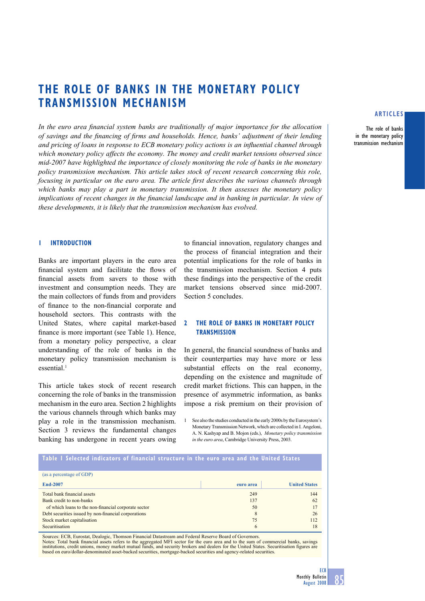# **THE ROLE OF BANKS IN THE MONETARY POLICY TRANSMISSION MECHANISM**

In the euro area financial system banks are traditionally of major importance for the allocation of savings and the financing of firms and households. Hence, banks' adjustment of their lending *and pricing of loans in response to ECB monetary policy actions is an influential channel through which monetary policy affects the economy. The money and credit market tensions observed since mid-2007 have highlighted the importance of closely monitoring the role of banks in the monetary policy transmission mechanism. This article takes stock of recent research concerning this role, focusing in particular on the euro area. The article first describes the various channels through which banks may play a part in monetary transmission. It then assesses the monetary policy implications of recent changes in the financial landscape and in banking in particular. In view of these developments, it is likely that the transmission mechanism has evolved.* 

## **1 INTRODUCTION**

Banks are important players in the euro area financial system and facilitate the flows of financial assets from savers to those with investment and consumption needs. They are the main collectors of funds from and providers of finance to the non-financial corporate and household sectors. This contrasts with the United States, where capital market-based finance is more important (see Table 1). Hence, from a monetary policy perspective, a clear understanding of the role of banks in the monetary policy transmission mechanism is essential.<sup>1</sup>

This article takes stock of recent research concerning the role of banks in the transmission mechanism in the euro area. Section 2 highlights the various channels through which banks may play a role in the transmission mechanism. Section 3 reviews the fundamental changes banking has undergone in recent years owing to financial innovation, regulatory changes and the process of financial integration and their potential implications for the role of banks in the transmission mechanism. Section 4 puts these findings into the perspective of the credit market tensions observed since mid-2007. Section 5 concludes.

# **2 THE ROLE OF BANKS IN MONETARY POLICY TRANSMISSION**

In general, the financial soundness of banks and their counterparties may have more or less substantial effects on the real economy, depending on the existence and magnitude of credit market frictions. This can happen, in the presence of asymmetric information, as banks impose a risk premium on their provision of

1 See also the studies conducted in the early 2000s by the Eurosystem's Monetary Transmission Network, which are collected in I. Angeloni, A. N. Kashyap and B. Mojon (eds.), *Monetary policy transmission in the euro area*, Cambridge University Press, 2003.

#### **Table 1 Selected indicators of financial structure in the euro area and the United States**

| (as a percentage of GDP)                             |           |                      |
|------------------------------------------------------|-----------|----------------------|
|                                                      |           |                      |
| End-2007                                             | euro area | <b>United States</b> |
| Total bank financial assets                          | 249       | 144                  |
|                                                      |           |                      |
| Bank credit to non-banks                             | 137       | 62                   |
| of which loans to the non-financial corporate sector | 50        |                      |
| Debt securities issued by non-financial corporations | 8         | 26                   |
| Stock market capitalisation                          | 75        | 112                  |
| Securitisation                                       | 6         | 18                   |

Sources: ECB, Eurostat, Dealogic, Thomson Financial Datastream and Federal Reserve Board of Governors.<br>Notes: Total bank financial assets refers to the aggregated MFI sector for the euro area and to the sum of commercial b based on euro/dollar-denominated asset-backed securities, mortgage-backed securities and agency-related securities.

## **ARTICLES**

**The role of banks in the monetary policy transmission mechanism**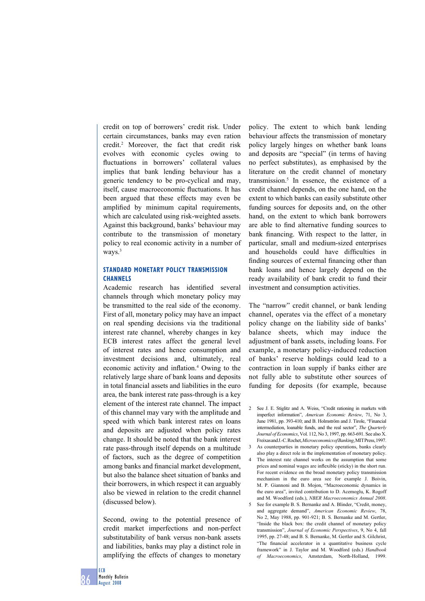credit on top of borrowers' credit risk. Under certain circumstances, banks may even ration credit.2 Moreover, the fact that credit risk evolves with economic cycles owing to fluctuations in borrowers' collateral values implies that bank lending behaviour has a generic tendency to be pro-cyclical and may, itself, cause macroeconomic fluctuations. It has been argued that these effects may even be amplified by minimum capital requirements, which are calculated using risk-weighted assets. Against this background, banks' behaviour may contribute to the transmission of monetary policy to real economic activity in a number of ways.<sup>3</sup>

# **STANDARD MONETARY POLICY TRANSMISSION CHANNELS**

Academic research has identified several channels through which monetary policy may be transmitted to the real side of the economy. First of all, monetary policy may have an impact on real spending decisions via the traditional interest rate channel, whereby changes in key ECB interest rates affect the general level of interest rates and hence consumption and investment decisions and, ultimately, real economic activity and inflation.<sup>4</sup> Owing to the relatively large share of bank loans and deposits in total financial assets and liabilities in the euro area, the bank interest rate pass-through is a key element of the interest rate channel. The impact of this channel may vary with the amplitude and speed with which bank interest rates on loans and deposits are adjusted when policy rates change. It should be noted that the bank interest rate pass-through itself depends on a multitude of factors, such as the degree of competition among banks and financial market development, but also the balance sheet situation of banks and their borrowers, in which respect it can arguably also be viewed in relation to the credit channel (discussed below).

Second, owing to the potential presence of credit market imperfections and non-perfect substitutability of bank versus non-bank assets and liabilities, banks may play a distinct role in amplifying the effects of changes to monetary

policy. The extent to which bank lending behaviour affects the transmission of monetary policy largely hinges on whether bank loans and deposits are "special" (in terms of having no perfect substitutes), as emphasised by the literature on the credit channel of monetary transmission.5 In essence, the existence of a credit channel depends, on the one hand, on the extent to which banks can easily substitute other funding sources for deposits and, on the other hand, on the extent to which bank borrowers are able to find alternative funding sources to bank financing. With respect to the latter, in particular, small and medium-sized enterprises and households could have difficulties in finding sources of external financing other than bank loans and hence largely depend on the ready availability of bank credit to fund their investment and consumption activities.

The "narrow" credit channel, or bank lending channel, operates via the effect of a monetary policy change on the liability side of banks' balance sheets, which may induce the adjustment of bank assets, including loans. For example, a monetary policy-induced reduction of banks' reserve holdings could lead to a contraction in loan supply if banks either are not fully able to substitute other sources of funding for deposits (for example, because

- prices and nominal wages are inflexible (sticky) in the short run. For recent evidence on the broad monetary policy transmission mechanism in the euro area see for example J. Boivin, M. P. Giannoni and B. Mojon, "Macroeconomic dynamics in the euro area", invited contribution to D. Acemoglu, K. Rogoff and M. Woodford (eds.), *NBER Macroeconomics Annual 2008*.
- 5 See for example B. S. Bernanke and A. Blinder, "Credit, money, and aggregate demand", *American Economic Review*, 78, No 2, May 1988, pp. 901-921; B. S. Bernanke and M. Gertler, "Inside the black box: the credit channel of monetary policy transmission", *Journal of Economic Perspectives*, 9, No 4, fall 1995, pp. 27-48; and B. S. Bernanke, M. Gertler and S. Gilchrist, "The financial accelerator in a quantitative business cycle framework" in J. Taylor and M. Woodford (eds.) *Handbook of Macroeconomics*, Amsterdam, North-Holland, 1999.

<sup>2</sup> See J. E. Stiglitz and A. Weiss, "Credit rationing in markets with imperfect information", *American Economic Review*, 71, No 3, June 1981, pp. 393-410; and B. Holmström and J. Tirole, "Financial intermediation, loanable funds, and the real sector", *The Quarterly Journal of Economics*, Vol. 112, No 3, 1997, pp. 663-691. See also X. Freixas and J.-C. Rochet, *Microeconomics of Banking*, MIT Press, 1997.

<sup>3</sup> As counterparties in monetary policy operations, banks clearly also play a direct role in the implementation of monetary policy. 4 The interest rate channel works on the assumption that some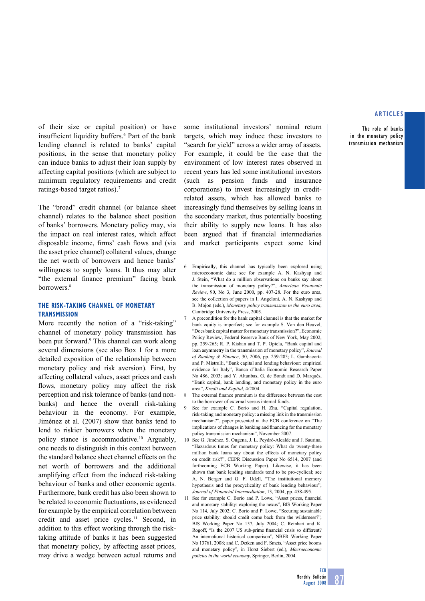**The role of banks in the monetary policy transmission mechanism**

of their size or capital position) or have insufficient liquidity buffers.<sup>6</sup> Part of the bank lending channel is related to banks' capital positions, in the sense that monetary policy can induce banks to adjust their loan supply by affecting capital positions (which are subject to minimum regulatory requirements and credit ratings-based target ratios).7

The "broad" credit channel (or balance sheet channel) relates to the balance sheet position of banks' borrowers. Monetary policy may, via the impact on real interest rates, which affect disposable income, firms' cash flows and (via the asset price channel) collateral values, change the net worth of borrowers and hence banks' willingness to supply loans. It thus may alter "the external finance premium" facing bank borrowers.<sup>8</sup>

# **THE RISK-TAKING CHANNEL OF MONETARY TRANSMISSION**

More recently the notion of a "risk-taking" channel of monetary policy transmission has been put forward.<sup>9</sup> This channel can work along several dimensions (see also Box 1 for a more detailed exposition of the relationship between monetary policy and risk aversion). First, by affecting collateral values, asset prices and cash flows, monetary policy may affect the risk perception and risk tolerance of banks (and nonbanks) and hence the overall risk-taking behaviour in the economy. For example, Jiménez et al. (2007) show that banks tend to lend to riskier borrowers when the monetary policy stance is accommodative.10 Arguably, one needs to distinguish in this context between the standard balance sheet channel effects on the net worth of borrowers and the additional amplifying effect from the induced risk-taking behaviour of banks and other economic agents. Furthermore, bank credit has also been shown to be related to economic fluctuations, as evidenced for example by the empirical correlation between credit and asset price cycles.11 Second, in addition to this effect working through the risktaking attitude of banks it has been suggested that monetary policy, by affecting asset prices, may drive a wedge between actual returns and

some institutional investors' nominal return targets, which may induce these investors to "search for yield" across a wider array of assets. For example, it could be the case that the environment of low interest rates observed in recent years has led some institutional investors (such as pension funds and insurance corporations) to invest increasingly in creditrelated assets, which has allowed banks to increasingly fund themselves by selling loans in the secondary market, thus potentially boosting their ability to supply new loans. It has also been argued that if financial intermediaries and market participants expect some kind

- 6 Empirically, this channel has typically been explored using microeconomic data; see for example A. N. Kashyap and J. Stein, "What do a million observations on banks say about the transmission of monetary policy?", *American Economic Review*, 90, No 3, June 2000, pp. 407-28. For the euro area, see the collection of papers in I. Angeloni, A. N. Kashyap and B. Mojon (eds.), *Monetary policy transmission in the euro area*, Cambridge University Press, 2003.
- 7 A precondition for the bank capital channel is that the market for bank equity is imperfect; see for example S. Van den Heuvel, "Does bank capital matter for monetary transmission?", Economic Policy Review, Federal Reserve Bank of New York, May 2002, pp. 259-265; R. P. Kishan and T. P. Opiela, "Bank capital and loan asymmetry in the transmission of monetary policy", *Journal of Banking & Finance*, 30, 2006, pp. 259-285; L. Gambacorta and P. Mistrulli, "Bank capital and lending behaviour: empirical evidence for Italy", Banca d'Italia Economic Research Paper No 486, 2003; and Y. Altunbas, G. de Bondt and D. Marqués, "Bank capital, bank lending, and monetary policy in the euro area", *Kredit und Kapital*, 4/2004.
- 8 The external finance premium is the difference between the cost to the borrower of external versus internal funds.
- 9 See for example C. Borio and H. Zhu, "Capital regulation, risk-taking and monetary policy: a missing link in the transmission mechanism?", paper presented at the ECB conference on "The implications of changes in banking and financing for the monetary policy transmission mechanism", November 2007.
- 10 See G. Jiménez, S. Ongena, J. L. Peydró-Alcalde and J. Saurina, "Hazardous times for monetary policy: What do twenty-three million bank loans say about the effects of monetary policy on credit risk?", CEPR Discussion Paper No 6514, 2007 (and forthcoming ECB Working Paper). Likewise, it has been shown that bank lending standards tend to be pro-cyclical; see A. N. Berger and G. F. Udell, "The institutional memory hypothesis and the procyclicality of bank lending behaviour", *Journal of Financial Intermediation*, 13, 2004, pp. 458-495.
- 11 See for example C. Borio and P. Lowe, "Asset prices, financial and monetary stability: exploring the nexus", BIS Working Paper No 114, July 2002; C. Borio and P. Lowe, "Securing sustainable price stability: should credit come back from the wilderness?" BIS Working Paper No 157, July 2004; C. Reinhart and K. Rogoff, "Is the 2007 US sub-prime financial crisis so different? An international historical comparison", NBER Working Paper No 13761, 2008; and C. Detken and F. Smets, "Asset price booms and monetary policy", in Horst Siebert (ed.), *Macroeconomic policies in the world economy*, Springer, Berlin, 2004.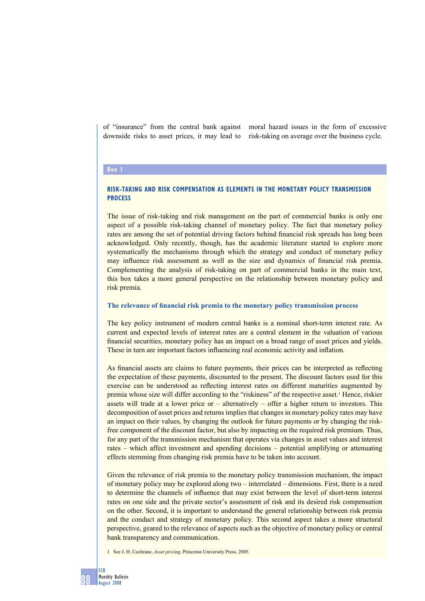of "insurance" from the central bank against downside risks to asset prices, it may lead to moral hazard issues in the form of excessive risk-taking on average over the business cycle.

#### **Box 1**

# **RISK-TAKING AND RISK COMPENSATION AS ELEMENTS IN THE MONETARY POLICY TRANSMISSION PROCESS**

The issue of risk-taking and risk management on the part of commercial banks is only one aspect of a possible risk-taking channel of monetary policy. The fact that monetary policy rates are among the set of potential driving factors behind financial risk spreads has long been acknowledged. Only recently, though, has the academic literature started to explore more systematically the mechanisms through which the strategy and conduct of monetary policy may influence risk assessment as well as the size and dynamics of financial risk premia. Complementing the analysis of risk-taking on part of commercial banks in the main text, this box takes a more general perspective on the relationship between monetary policy and risk premia.

#### The relevance of financial risk premia to the monetary policy transmission process

The key policy instrument of modern central banks is a nominal short-term interest rate. As current and expected levels of interest rates are a central element in the valuation of various financial securities, monetary policy has an impact on a broad range of asset prices and yields. These in turn are important factors influencing real economic activity and inflation.

As financial assets are claims to future payments, their prices can be interpreted as reflecting the expectation of these payments, discounted to the present. The discount factors used for this exercise can be understood as reflecting interest rates on different maturities augmented by premia whose size will differ according to the "riskiness" of the respective asset.<sup>1</sup> Hence, riskier assets will trade at a lower price or – alternatively – offer a higher return to investors. This decomposition of asset prices and returns implies that changes in monetary policy rates may have an impact on their values, by changing the outlook for future payments or by changing the riskfree component of the discount factor, but also by impacting on the required risk premium. Thus, for any part of the transmission mechanism that operates via changes in asset values and interest rates – which affect investment and spending decisions – potential amplifying or attenuating effects stemming from changing risk premia have to be taken into account.

Given the relevance of risk premia to the monetary policy transmission mechanism, the impact of monetary policy may be explored along two – interrelated – dimensions. First, there is a need to determine the channels of influence that may exist between the level of short-term interest rates on one side and the private sector's assessment of risk and its desired risk compensation on the other. Second, it is important to understand the general relationship between risk premia and the conduct and strategy of monetary policy. This second aspect takes a more structural perspective, geared to the relevance of aspects such as the objective of monetary policy or central bank transparency and communication.

1 See J. H. Cochrane, *Asset pricing*, Princeton University Press, 2005.

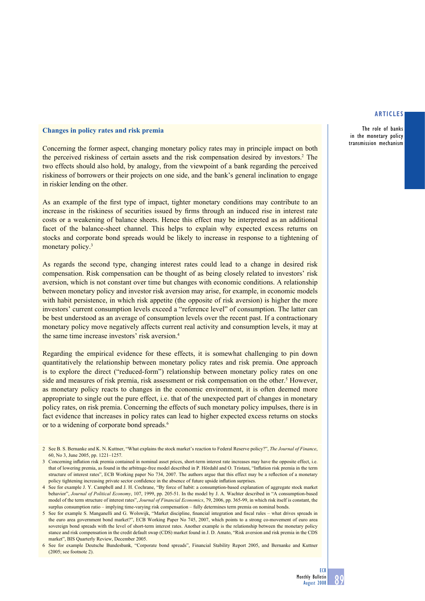**The role of banks in the monetary policy transmission mechanism**

# **Changes in policy rates and risk premia**

Concerning the former aspect, changing monetary policy rates may in principle impact on both the perceived riskiness of certain assets and the risk compensation desired by investors.<sup>2</sup> The two effects should also hold, by analogy, from the viewpoint of a bank regarding the perceived riskiness of borrowers or their projects on one side, and the bank's general inclination to engage in riskier lending on the other.

As an example of the first type of impact, tighter monetary conditions may contribute to an increase in the riskiness of securities issued by firms through an induced rise in interest rate costs or a weakening of balance sheets. Hence this effect may be interpreted as an additional facet of the balance-sheet channel. This helps to explain why expected excess returns on stocks and corporate bond spreads would be likely to increase in response to a tightening of monetary policy.<sup>3</sup>

As regards the second type, changing interest rates could lead to a change in desired risk compensation. Risk compensation can be thought of as being closely related to investors' risk aversion, which is not constant over time but changes with economic conditions. A relationship between monetary policy and investor risk aversion may arise, for example, in economic models with habit persistence, in which risk appetite (the opposite of risk aversion) is higher the more investors' current consumption levels exceed a "reference level" of consumption. The latter can be best understood as an average of consumption levels over the recent past. If a contractionary monetary policy move negatively affects current real activity and consumption levels, it may at the same time increase investors' risk aversion.<sup>4</sup>

Regarding the empirical evidence for these effects, it is somewhat challenging to pin down quantitatively the relationship between monetary policy rates and risk premia. One approach is to explore the direct ("reduced-form") relationship between monetary policy rates on one side and measures of risk premia, risk assessment or risk compensation on the other.<sup>5</sup> However, as monetary policy reacts to changes in the economic environment, it is often deemed more appropriate to single out the pure effect, i.e. that of the unexpected part of changes in monetary policy rates, on risk premia. Concerning the effects of such monetary policy impulses, there is in fact evidence that increases in policy rates can lead to higher expected excess returns on stocks or to a widening of corporate bond spreads.<sup>6</sup>

<sup>2</sup> See B. S. Bernanke and K. N. Kuttner, "What explains the stock market's reaction to Federal Reserve policy?", *The Journal of Finance*, 60, No 3, June 2005, pp. 1221–1257.

<sup>3</sup> Concerning inflation risk premia contained in nominal asset prices, short-term interest rate increases may have the opposite effect, i.e. that of lowering premia, as found in the arbitrage-free model described in P. Hördahl and O. Tristani, "Inflation risk premia in the term structure of interest rates", ECB Working paper No 734, 2007. The authors argue that this effect may be a reflection of a monetary policy tightening increasing private sector confidence in the absence of future upside inflation surprises.

<sup>4</sup> See for example J. Y. Campbell and J. H. Cochrane, "By force of habit: a consumption-based explanation of aggregate stock market behavior", *Journal of Political Economy*, 107, 1999, pp. 205-51. In the model by J. A. Wachter described in "A consumption-based model of the term structure of interest rates", *Journal of Financial Economics*, 79, 2006, pp. 365-99, in which risk itself is constant, the surplus consumption ratio – implying time-varying risk compensation – fully determines term premia on nominal bonds.

<sup>5</sup> See for example S. Manganelli and G. Wolswijk, "Market discipline, financial integration and fiscal rules – what drives spreads in the euro area government bond market?", ECB Working Paper No 745, 2007, which points to a strong co-movement of euro area sovereign bond spreads with the level of short-term interest rates. Another example is the relationship between the monetary policy stance and risk compensation in the credit default swap (CDS) market found in J. D. Amato, "Risk aversion and risk premia in the CDS market", BIS Quarterly Review, December 2005.

<sup>6</sup> See for example Deutsche Bundesbank, "Corporate bond spreads", Financial Stability Report 2005, and Bernanke and Kuttner (2005; see footnote 2).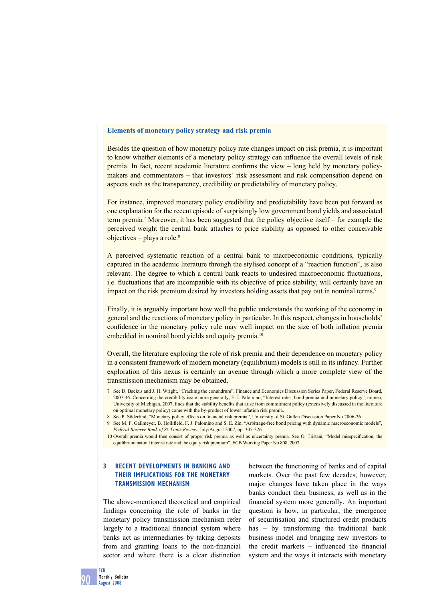#### **Elements of monetary policy strategy and risk premia**

Besides the question of how monetary policy rate changes impact on risk premia, it is important to know whether elements of a monetary policy strategy can influence the overall levels of risk premia. In fact, recent academic literature confirms the view  $-$  long held by monetary policymakers and commentators – that investors' risk assessment and risk compensation depend on aspects such as the transparency, credibility or predictability of monetary policy.

For instance, improved monetary policy credibility and predictability have been put forward as one explanation for the recent episode of surprisingly low government bond yields and associated term premia.7 Moreover, it has been suggested that the policy objective itself – for example the perceived weight the central bank attaches to price stability as opposed to other conceivable objectives – plays a role. $8$ 

A perceived systematic reaction of a central bank to macroeconomic conditions, typically captured in the academic literature through the stylised concept of a "reaction function", is also relevant. The degree to which a central bank reacts to undesired macroeconomic fluctuations, i.e. fluctuations that are incompatible with its objective of price stability, will certainly have an impact on the risk premium desired by investors holding assets that pay out in nominal terms.<sup>9</sup>

Finally, it is arguably important how well the public understands the working of the economy in general and the reactions of monetary policy in particular. In this respect, changes in households' confidence in the monetary policy rule may well impact on the size of both inflation premia embedded in nominal bond yields and equity premia.<sup>10</sup>

Overall, the literature exploring the role of risk premia and their dependence on monetary policy in a consistent framework of modern monetary (equilibrium) models is still in its infancy. Further exploration of this nexus is certainly an avenue through which a more complete view of the transmission mechanism may be obtained.

- 7 See D. Backus and J. H. Wright, "Cracking the conundrum", Finance and Economics Discussion Series Paper, Federal Reserve Board, 2007-46. Concerning the credibility issue more generally, F. J. Palomino, "Interest rates, bond premia and monetary policy", mimeo, University of Michigan, 2007, finds that the stability benefits that arise from commitment policy (extensively discussed in the literature on optimal monetary policy) come with the by-product of lower inflation risk premia.
- 8 See P. Söderlind, "Monetary policy effects on financial risk premia", University of St. Gallen Discussion Paper No 2006-26.

9 See M. F. Gallmeyer, B. Hollifield, F. J. Palomino and S. E. Zin, "Arbitrage-free bond pricing with dynamic macroeconomic models", *Federal Reserve Bank of St. Louis Review*, July/August 2007, pp. 305-326.

10 Overall premia would then consist of proper risk premia as well as uncertainty premia. See O. Tristani, "Model misspecification, the equilibrium natural interest rate and the equity risk premium", ECB Working Paper No 808, 2007.

# **3 RECENT DEVELOPMENTS IN BANKING AND THEIR IMPLICATIONS FOR THE MONETARY TRANSMISSION MECHANISM**

The above-mentioned theoretical and empirical findings concerning the role of banks in the monetary policy transmission mechanism refer largely to a traditional financial system where banks act as intermediaries by taking deposits from and granting loans to the non-financial sector and where there is a clear distinction

between the functioning of banks and of capital markets. Over the past few decades, however, major changes have taken place in the ways banks conduct their business, as well as in the financial system more generally. An important question is how, in particular, the emergence of securitisation and structured credit products has – by transforming the traditional bank business model and bringing new investors to the credit markets  $-$  influenced the financial system and the ways it interacts with monetary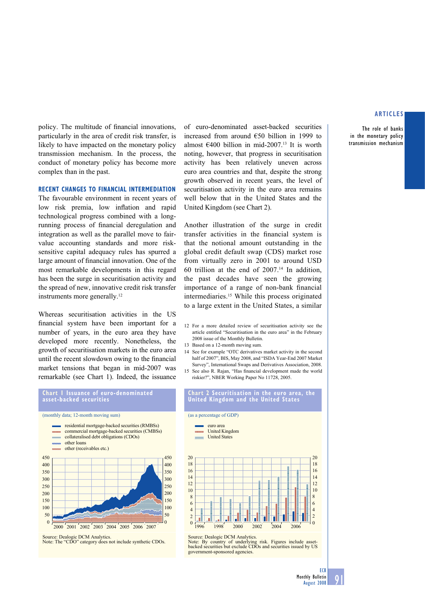**The role of banks in the monetary policy transmission mechanism**

policy. The multitude of financial innovations, particularly in the area of credit risk transfer, is likely to have impacted on the monetary policy transmission mechanism. In the process, the conduct of monetary policy has become more complex than in the past.

# **RECENT CHANGES TO FINANCIAL INTERMEDIATION**

The favourable environment in recent years of low risk premia, low inflation and rapid technological progress combined with a longrunning process of financial deregulation and integration as well as the parallel move to fairvalue accounting standards and more risksensitive capital adequacy rules has spurred a large amount of financial innovation. One of the most remarkable developments in this regard has been the surge in securitisation activity and the spread of new, innovative credit risk transfer instruments more generally.12

Whereas securitisation activities in the US financial system have been important for a number of years, in the euro area they have developed more recently. Nonetheless, the growth of securitisation markets in the euro area until the recent slowdown owing to the financial market tensions that began in mid-2007 was remarkable (see Chart 1). Indeed, the issuance



Note: The "CDO" category does not include synthetic CDOs.

of euro-denominated asset-backed securities increased from around €50 billion in 1999 to almost  $\epsilon$ 400 billion in mid-2007.<sup>13</sup> It is worth noting, however, that progress in securitisation activity has been relatively uneven across euro area countries and that, despite the strong growth observed in recent years, the level of securitisation activity in the euro area remains well below that in the United States and the United Kingdom (see Chart 2).

Another illustration of the surge in credit transfer activities in the financial system is that the notional amount outstanding in the global credit default swap (CDS) market rose from virtually zero in 2001 to around USD 60 trillion at the end of  $2007$ .<sup>14</sup> In addition, the past decades have seen the growing importance of a range of non-bank financial intermediaries.15 While this process originated to a large extent in the United States, a similar

- 12 For a more detailed review of securitisation activity see the article entitled "Securitisation in the euro area" in the February 2008 issue of the Monthly Bulletin.
- 13 Based on a 12-month moving sum.
- 14 See for example "OTC derivatives market activity in the second half of 2007", BIS, May 2008, and "ISDA Year-End 2007 Market Survey", International Swaps and Derivatives Association, 2008.
- 15 See also R. Rajan, "Has financial development made the world riskier?", NBER Working Paper No 11728, 2005.

#### **Chart 2 Securitisation in the euro area, the United Kingdom and the United States**

(as a percentage of GDP)

20





Source: Dealogic DCM Analytics.

Note: By country of underlying risk. Figures include asset-backed securities but exclude CDOs and securities issued by US government-sponsored agencies.

20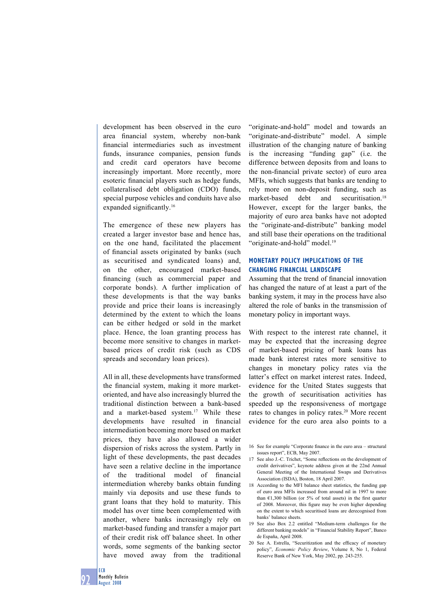development has been observed in the euro area financial system, whereby non-bank financial intermediaries such as investment funds, insurance companies, pension funds and credit card operators have become increasingly important. More recently, more esoteric financial players such as hedge funds, collateralised debt obligation (CDO) funds, special purpose vehicles and conduits have also expanded significantly.<sup>16</sup>

The emergence of these new players has created a larger investor base and hence has, on the one hand, facilitated the placement of financial assets originated by banks (such as securitised and syndicated loans) and, on the other, encouraged market-based financing (such as commercial paper and corporate bonds). A further implication of these developments is that the way banks provide and price their loans is increasingly determined by the extent to which the loans can be either hedged or sold in the market place. Hence, the loan granting process has become more sensitive to changes in marketbased prices of credit risk (such as CDS spreads and secondary loan prices).

All in all, these developments have transformed the financial system, making it more marketoriented, and have also increasingly blurred the traditional distinction between a bank-based and a market-based system.17 While these developments have resulted in financial intermediation becoming more based on market prices, they have also allowed a wider dispersion of risks across the system. Partly in light of these developments, the past decades have seen a relative decline in the importance of the traditional model of financial intermediation whereby banks obtain funding mainly via deposits and use these funds to grant loans that they hold to maturity. This model has over time been complemented with another, where banks increasingly rely on market-based funding and transfer a major part of their credit risk off balance sheet. In other words, some segments of the banking sector have moved away from the traditional

"originate-and-hold" model and towards an "originate-and-distribute" model. A simple illustration of the changing nature of banking is the increasing "funding gap" (i.e. the difference between deposits from and loans to the non-financial private sector) of euro area MFIs, which suggests that banks are tending to rely more on non-deposit funding, such as market-based debt and securitisation.<sup>18</sup> However, except for the larger banks, the majority of euro area banks have not adopted the "originate-and-distribute" banking model and still base their operations on the traditional "originate-and-hold" model.<sup>19</sup>

# **MONETARY POLICY IMPLICATIONS OF THE CHANGING FINANCIAL LANDSCAPE**

Assuming that the trend of financial innovation has changed the nature of at least a part of the banking system, it may in the process have also altered the role of banks in the transmission of monetary policy in important ways.

With respect to the interest rate channel, it may be expected that the increasing degree of market-based pricing of bank loans has made bank interest rates more sensitive to changes in monetary policy rates via the latter's effect on market interest rates. Indeed, evidence for the United States suggests that the growth of securitisation activities has speeded up the responsiveness of mortgage rates to changes in policy rates.20 More recent evidence for the euro area also points to a

- 16 See for example "Corporate finance in the euro area structural issues report", ECB, May 2007.
- 17 See also J.-C. Trichet, "Some reflections on the development of credit derivatives", keynote address given at the 22nd Annual General Meeting of the International Swaps and Derivatives Association (ISDA), Boston, 18 April 2007.
- 18 According to the MFI balance sheet statistics, the funding gap of euro area MFIs increased from around nil in 1997 to more than  $E1,300$  billion (or 5% of total assets) in the first quarter of 2008. Moreover, this figure may be even higher depending on the extent to which securitised loans are derecognised from banks' balance sheets.
- 19 See also Box 2.2 entitled "Medium-term challenges for the different banking models" in "Financial Stability Report", Banco de España, April 2008.
- 20 See A. Estrella, "Securitization and the efficacy of monetary policy", *Economic Policy Review*, Volume 8, No 1, Federal Reserve Bank of New York, May 2002, pp. 243-255.

**ECB**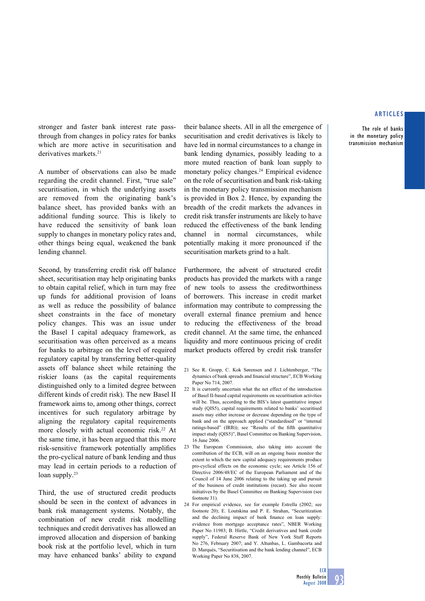**The role of banks in the monetary policy transmission mechanism**

stronger and faster bank interest rate passthrough from changes in policy rates for banks which are more active in securitisation and derivatives markets.<sup>21</sup>

A number of observations can also be made regarding the credit channel. First, "true sale" securitisation, in which the underlying assets are removed from the originating bank's balance sheet, has provided banks with an additional funding source. This is likely to have reduced the sensitivity of bank loan supply to changes in monetary policy rates and, other things being equal, weakened the bank lending channel.

Second, by transferring credit risk off balance sheet, securitisation may help originating banks to obtain capital relief, which in turn may free up funds for additional provision of loans as well as reduce the possibility of balance sheet constraints in the face of monetary policy changes. This was an issue under the Basel I capital adequacy framework, as securitisation was often perceived as a means for banks to arbitrage on the level of required regulatory capital by transferring better-quality assets off balance sheet while retaining the riskier loans (as the capital requirements distinguished only to a limited degree between different kinds of credit risk). The new Basel II framework aims to, among other things, correct incentives for such regulatory arbitrage by aligning the regulatory capital requirements more closely with actual economic risk.<sup>22</sup> At the same time, it has been argued that this more risk-sensitive framework potentially amplifies the pro-cyclical nature of bank lending and thus may lead in certain periods to a reduction of loan supply.<sup>23</sup>

Third, the use of structured credit products should be seen in the context of advances in bank risk management systems. Notably, the combination of new credit risk modelling techniques and credit derivatives has allowed an improved allocation and dispersion of banking book risk at the portfolio level, which in turn may have enhanced banks' ability to expand their balance sheets. All in all the emergence of securitisation and credit derivatives is likely to have led in normal circumstances to a change in bank lending dynamics, possibly leading to a more muted reaction of bank loan supply to monetary policy changes.<sup>24</sup> Empirical evidence on the role of securitisation and bank risk-taking in the monetary policy transmission mechanism is provided in Box 2. Hence, by expanding the breadth of the credit markets the advances in credit risk transfer instruments are likely to have reduced the effectiveness of the bank lending channel in normal circumstances, while potentially making it more pronounced if the securitisation markets grind to a halt.

Furthermore, the advent of structured credit products has provided the markets with a range of new tools to assess the creditworthiness of borrowers. This increase in credit market information may contribute to compressing the overall external finance premium and hence to reducing the effectiveness of the broad credit channel. At the same time, the enhanced liquidity and more continuous pricing of credit market products offered by credit risk transfer

- 21 See R. Gropp, C. Kok Sørensen and J. Lichtenberger, "The dynamics of bank spreads and financial structure", ECB Working Paper No 714, 2007.
- 22 It is currently uncertain what the net effect of the introduction of Basel II-based capital requirements on securitisation activities will be. Thus, according to the BIS's latest quantitative impact study (QIS5), capital requirements related to banks' securitised assets may either increase or decrease depending on the type of bank and on the approach applied ("standardised" or "internal ratings-based"  $(IRB)$ ); see "Results of the fifth quantitative impact study (QIS5)", Basel Committee on Banking Supervision, 16 June 2006.
- 23 The European Commission, also taking into account the contribution of the ECB, will on an ongoing basis monitor the extent to which the new capital adequacy requirements produce pro-cyclical effects on the economic cycle; see Article 156 of Directive 2006/48/EC of the European Parliament and of the Council of 14 June 2006 relating to the taking up and pursuit of the business of credit institutions (recast). See also recent initiatives by the Basel Committee on Banking Supervision (see footnote 31).
- 24 For empirical evidence, see for example Estrella (2002; see footnote 20); E. Loutskina and P. E. Strahan, "Securitization and the declining impact of bank finance on loan supply: evidence from mortgage acceptance rates", NBER Working Paper No 11983; B. Hirtle, "Credit derivatives and bank credit supply", Federal Reserve Bank of New York Staff Reports No 276, February 2007; and Y. Altunbas, L. Gambacorta and D. Marqués, "Securitisation and the bank lending channel", ECB Working Paper No 838, 2007.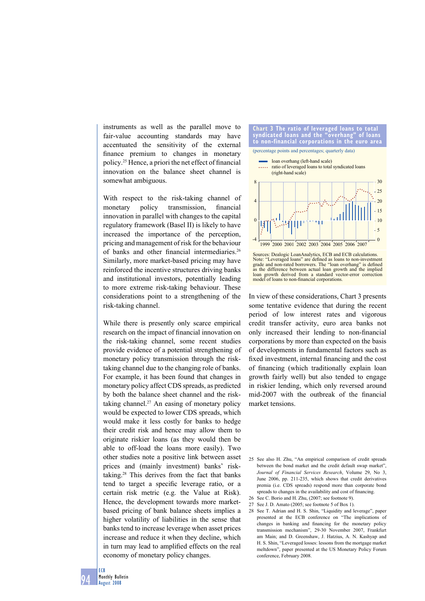instruments as well as the parallel move to fair-value accounting standards may have accentuated the sensitivity of the external finance premium to changes in monetary policy.<sup>25</sup> Hence, a priori the net effect of financial innovation on the balance sheet channel is somewhat ambiguous.

With respect to the risk-taking channel of monetary policy transmission, financial innovation in parallel with changes to the capital regulatory framework (Basel II) is likely to have increased the importance of the perception, pricing and management of risk for the behaviour of banks and other financial intermediaries.<sup>26</sup> Similarly, more market-based pricing may have reinforced the incentive structures driving banks and institutional investors, potentially leading to more extreme risk-taking behaviour. These considerations point to a strengthening of the risk-taking channel.

While there is presently only scarce empirical research on the impact of financial innovation on the risk-taking channel, some recent studies provide evidence of a potential strengthening of monetary policy transmission through the risktaking channel due to the changing role of banks. For example, it has been found that changes in monetary policy affect CDS spreads, as predicted by both the balance sheet channel and the risktaking channel.<sup>27</sup> An easing of monetary policy would be expected to lower CDS spreads, which would make it less costly for banks to hedge their credit risk and hence may allow them to originate riskier loans (as they would then be able to off-load the loans more easily). Two other studies note a positive link between asset prices and (mainly investment) banks' risktaking.28 This derives from the fact that banks tend to target a specific leverage ratio, or a certain risk metric (e.g. the Value at Risk). Hence, the development towards more marketbased pricing of bank balance sheets implies a higher volatility of liabilities in the sense that banks tend to increase leverage when asset prices increase and reduce it when they decline, which in turn may lead to amplified effects on the real economy of monetary policy changes.



Note: "Leveraged loans" are defined as loans to non-investment grade and non-rated borrowers. The "loan overhang" is defined as the difference between actual loan growth and the implied loan growth derived from a standard vector-error correction model of loans to non-financial corporations.

In view of these considerations, Chart 3 presents some tentative evidence that during the recent period of low interest rates and vigorous credit transfer activity, euro area banks not only increased their lending to non-financial corporations by more than expected on the basis of developments in fundamental factors such as fixed investment, internal financing and the cost of financing (which traditionally explain loan growth fairly well) but also tended to engage in riskier lending, which only reversed around mid-2007 with the outbreak of the financial market tensions.

- 25 See also H. Zhu, "An empirical comparison of credit spreads between the bond market and the credit default swap market", *Journal of Financial Services Research*, Volume 29, No 3, June 2006, pp. 211-235, which shows that credit derivatives premia (i.e. CDS spreads) respond more than corporate bond spreads to changes in the availability and cost of financing.
- 26 See C. Borio and H. Zhu, (2007; see footnote 9).
- 27 See J. D. Amato (2005; see footnote 5 of Box 1).
- 28 See T. Adrian and H. S. Shin, "Liquidity and leverage", paper presented at the ECB conference on "The implications of changes in banking and financing for the monetary policy transmission mechanism", 29-30 November 2007, Frankfurt am Main; and D. Greenshaw, J. Hatzius, A. N. Kashyap and H. S. Shin, "Leveraged losses: lessons from the mortgage market meltdown", paper presented at the US Monetary Policy Forum conference, February 2008.

**94 ECB Monthly Bulletin August 2008**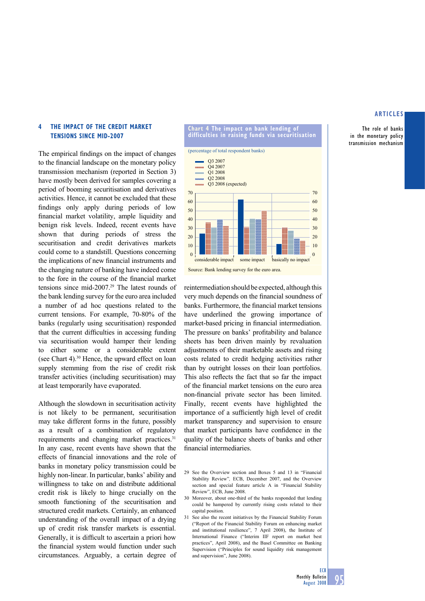**The role of banks in the monetary policy transmission mechanism**

# **4 THE IMPACT OF THE CREDIT MARKET TENSIONS SINCE MID-2007**

The empirical findings on the impact of changes to the financial landscape on the monetary policy transmission mechanism (reported in Section 3) have mostly been derived for samples covering a period of booming securitisation and derivatives activities. Hence, it cannot be excluded that these findings only apply during periods of low financial market volatility, ample liquidity and benign risk levels. Indeed, recent events have shown that during periods of stress the securitisation and credit derivatives markets could come to a standstill. Questions concerning the implications of new financial instruments and the changing nature of banking have indeed come to the fore in the course of the financial market tensions since mid-2007.29 The latest rounds of the bank lending survey for the euro area included a number of ad hoc questions related to the current tensions. For example, 70-80% of the banks (regularly using securitisation) responded that the current difficulties in accessing funding via securitisation would hamper their lending to either some or a considerable extent (see Chart 4).30 Hence, the upward effect on loan supply stemming from the rise of credit risk transfer activities (including securitisation) may at least temporarily have evaporated.

Although the slowdown in securitisation activity is not likely to be permanent, securitisation may take different forms in the future, possibly as a result of a combination of regulatory requirements and changing market practices.31 In any case, recent events have shown that the effects of financial innovations and the role of banks in monetary policy transmission could be highly non-linear. In particular, banks' ability and willingness to take on and distribute additional credit risk is likely to hinge crucially on the smooth functioning of the securitisation and structured credit markets. Certainly, an enhanced understanding of the overall impact of a drying up of credit risk transfer markets is essential. Generally, it is difficult to ascertain a priori how the financial system would function under such circumstances. Arguably, a certain degree of



**Chart 4 The impact on bank lending of** 

Source: Bank lending survey for the euro area.

reintermediation should be expected, although this very much depends on the financial soundness of banks. Furthermore, the financial market tensions have underlined the growing importance of market-based pricing in financial intermediation. The pressure on banks' profitability and balance sheets has been driven mainly by revaluation adjustments of their marketable assets and rising costs related to credit hedging activities rather than by outright losses on their loan portfolios. This also reflects the fact that so far the impact of the financial market tensions on the euro area non-financial private sector has been limited. Finally, recent events have highlighted the importance of a sufficiently high level of credit market transparency and supervision to ensure that market participants have confidence in the quality of the balance sheets of banks and other financial intermediaries.

- 29 See the Overview section and Boxes 5 and 13 in "Financial Stability Review"*,* ECB, December 2007, and the Overview section and special feature article A in "Financial Stability Review", ECB, June 2008.
- 30 Moreover, about one-third of the banks responded that lending could be hampered by currently rising costs related to their capital position.
- 31 See also the recent initiatives by the Financial Stability Forum ("Report of the Financial Stability Forum on enhancing market and institutional resilience", 7 April 2008), the Institute of International Finance ("Interim IIF report on market best practices", April 2008), and the Basel Committee on Banking Supervision ("Principles for sound liquidity risk management and supervision", June 2008).

**ECB**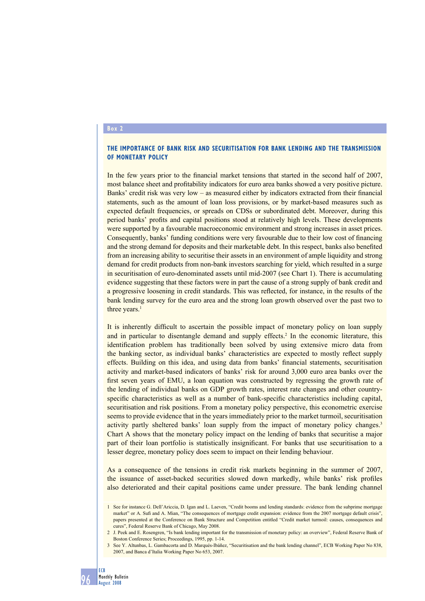# **Box 2**

## **THE IMPORTANCE OF BANK RISK AND SECURITISATION FOR BANK LENDING AND THE TRANSMISSION OF MONETARY POLICY**

In the few years prior to the financial market tensions that started in the second half of 2007, most balance sheet and profitability indicators for euro area banks showed a very positive picture. Banks' credit risk was very low – as measured either by indicators extracted from their financial statements, such as the amount of loan loss provisions, or by market-based measures such as expected default frequencies, or spreads on CDSs or subordinated debt. Moreover, during this period banks' profits and capital positions stood at relatively high levels. These developments were supported by a favourable macroeconomic environment and strong increases in asset prices. Consequently, banks' funding conditions were very favourable due to their low cost of financing and the strong demand for deposits and their marketable debt. In this respect, banks also benefited from an increasing ability to securitise their assets in an environment of ample liquidity and strong demand for credit products from non-bank investors searching for yield, which resulted in a surge in securitisation of euro-denominated assets until mid-2007 (see Chart 1). There is accumulating evidence suggesting that these factors were in part the cause of a strong supply of bank credit and a progressive loosening in credit standards. This was reflected, for instance, in the results of the bank lending survey for the euro area and the strong loan growth observed over the past two to three years.<sup>1</sup>

It is inherently difficult to ascertain the possible impact of monetary policy on loan supply and in particular to disentangle demand and supply effects.<sup>2</sup> In the economic literature, this identification problem has traditionally been solved by using extensive micro data from the banking sector, as individual banks' characteristics are expected to mostly reflect supply effects. Building on this idea, and using data from banks' financial statements, securitisation activity and market-based indicators of banks' risk for around 3,000 euro area banks over the first seven years of EMU, a loan equation was constructed by regressing the growth rate of the lending of individual banks on GDP growth rates, interest rate changes and other countryspecific characteristics as well as a number of bank-specific characteristics including capital, securitisation and risk positions. From a monetary policy perspective, this econometric exercise seems to provide evidence that in the years immediately prior to the market turmoil, securitisation activity partly sheltered banks' loan supply from the impact of monetary policy changes.<sup>3</sup> Chart A shows that the monetary policy impact on the lending of banks that securitise a major part of their loan portfolio is statistically insignificant. For banks that use securitisation to a lesser degree, monetary policy does seem to impact on their lending behaviour.

As a consequence of the tensions in credit risk markets beginning in the summer of 2007, the issuance of asset-backed securities slowed down markedly, while banks' risk profiles also deteriorated and their capital positions came under pressure. The bank lending channel

<sup>3</sup> See Y. Altunbas, L. Gambacorta and D. Marqués-Ibáñez, "Securitisation and the bank lending channel", ECB Working Paper No 838, 2007, and Banca d'Italia Working Paper No 653, 2007.



<sup>1</sup> See for instance G. Dell'Ariccia, D. Igan and L. Laeven, "Credit booms and lending standards: evidence from the subprime mortgage market" or A. Sufi and A. Mian, "The consequences of mortgage credit expansion: evidence from the 2007 mortgage default crisis" papers presented at the Conference on Bank Structure and Competition entitled "Credit market turmoil: causes, consequences and cures", Federal Reserve Bank of Chicago, May 2008.

<sup>2</sup> J. Peek and E. Rosengren, "Is bank lending important for the transmission of monetary policy: an overview", Federal Reserve Bank of Boston Conference Series; Proceedings, 1995, pp. 1-14.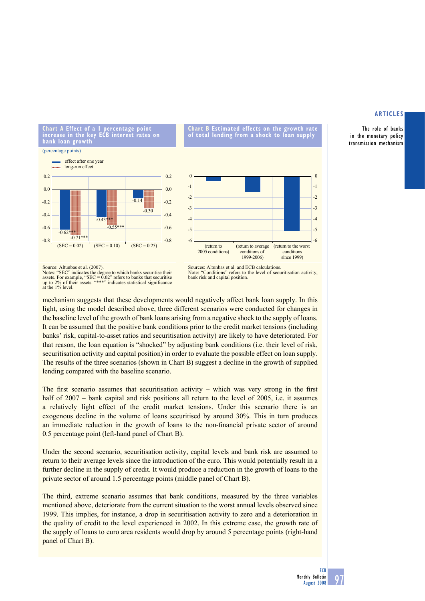**The role of banks in the monetary policy transmission mechanism**

**Chart A Effect of a 1 percentage point increase in the key ECB interest rates on bank loan growth**  (percentage points)



<sup>-6</sup> -5 -4 -3 -2 -1  $\overline{0}$ -6  $\overline{\phantom{a}}$ -4 -3 -2 -1  $\mathfrak{c}$ (return to 2005 conditions) (return to average conditions of 1999-2006) (return to the worst conditions since 1999)

**Chart B Estimated effects on the growth rate of total lending from a shock to loan supply**

Sources: Altunbas et al. and ECB calculations.<br>Note: "Conditions" refers to the level of sec refers to the level of securitisation activity bank risk and capital position.

mechanism suggests that these developments would negatively affect bank loan supply. In this light, using the model described above, three different scenarios were conducted for changes in the baseline level of the growth of bank loans arising from a negative shock to the supply of loans. It can be assumed that the positive bank conditions prior to the credit market tensions (including banks' risk, capital-to-asset ratios and securitisation activity) are likely to have deteriorated. For that reason, the loan equation is "shocked" by adjusting bank conditions (i.e. their level of risk, securitisation activity and capital position) in order to evaluate the possible effect on loan supply. The results of the three scenarios (shown in Chart B) suggest a decline in the growth of supplied lending compared with the baseline scenario.

The first scenario assumes that securitisation activity – which was very strong in the first half of 2007 – bank capital and risk positions all return to the level of 2005, i.e. it assumes a relatively light effect of the credit market tensions. Under this scenario there is an exogenous decline in the volume of loans securitised by around 30%. This in turn produces an immediate reduction in the growth of loans to the non-financial private sector of around 0.5 percentage point (left-hand panel of Chart B).

Under the second scenario, securitisation activity, capital levels and bank risk are assumed to return to their average levels since the introduction of the euro. This would potentially result in a further decline in the supply of credit. It would produce a reduction in the growth of loans to the private sector of around 1.5 percentage points (middle panel of Chart B).

The third, extreme scenario assumes that bank conditions, measured by the three variables mentioned above, deteriorate from the current situation to the worst annual levels observed since 1999. This implies, for instance, a drop in securitisation activity to zero and a deterioration in the quality of credit to the level experienced in 2002. In this extreme case, the growth rate of the supply of loans to euro area residents would drop by around 5 percentage points (right-hand panel of Chart B).

Source: Altunbas et al. (2007).<br>Notes: "SEC" indicates the deg SEC" indicates the degree to which banks securitise their assets. For example, "SEC =  $0.02$ " refers to banks that securitise up to 2% of their assets. "\*\*\*" indicates statistical significance assets. For example,  $\overline{52}$ <br>up to 2% of their assets.<br>at the 1% level